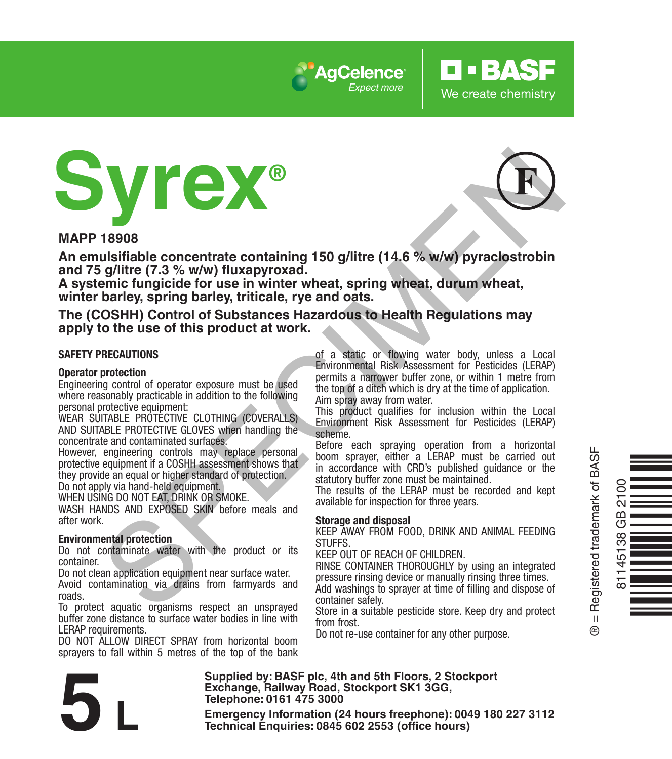





**O** · BASF

We create chemistry

**MAPP 18908**

**An emulsifiable concentrate containing 150 g/litre (14.6 % w/w) pyraclostrobin and 75 g/litre (7.3 % w/w) fluxapyroxad.** 

**A systemic fungicide for use in winter wheat, spring wheat, durum wheat, winter barley, spring barley, triticale, rye and oats.**

**The (COSHH) Control of Substances Hazardous to Health Regulations may apply to the use of this product at work.**

#### **SAFETY PRECAUTIONS**

#### **Operator protection**

Engineering control of operator exposure must be used where reasonably practicable in addition to the following personal protective equipment:

WEAR SUITABLE PROTECTIVE CLOTHING (COVERALLS) AND SUITABLE PROTECTIVE GLOVES when handling the concentrate and contaminated surfaces.

However, engineering controls may replace personal protective equipment if a COSHH assessment shows that they provide an equal or higher standard of protection.

Do not apply via hand-held equipment.

WHEN USING DO NOT EAT, DRINK OR SMOKE.

WASH HANDS AND EXPOSED SKIN before meals and after work.

#### **Environmental protection**

Do not contaminate water with the product or its container.

Do not clean application equipment near surface water. Avoid contamination via drains from farmyards and

roads.

To protect aquatic organisms respect an unsprayed buffer zone distance to surface water bodies in line with LERAP requirements.

DO NOT ALLOW DIRECT SPRAY from horizontal boom sprayers to fall within 5 metres of the top of the bank of a static or flowing water body, unless a Local Environmental Risk Assessment for Pesticides (LERAP) permits a narrower buffer zone, or within 1 metre from the top of a ditch which is dry at the time of application. Aim spray away from water.

This product qualifies for inclusion within the Local Environment Risk Assessment for Pesticides (LERAP) scheme.

Before each spraying operation from a horizontal boom sprayer, either a LERAP must be carried out in accordance with CRD's published guidance or the statutory buffer zone must be maintained.

The results of the LERAP must be recorded and kept available for inspection for three years.

#### **Storage and disposal**

KEEP AWAY FROM FOOD, DRINK AND ANIMAL FEEDING **STUFFS** 

KEEP OUT OF REACH OF CHILDREN.

RINSE CONTAINER THOROUGHLY by using an integrated pressure rinsing device or manually rinsing three times.

Add washings to sprayer at time of filling and dispose of container safely.

Store in a suitable pesticide store. Keep dry and protect from frost.

Do not re-use container for any other purpose.



® = Registered trademark of BASF

 $^{\circ}$ 

**Supplied by: BASF plc, 4th and 5th Floors, 2 Stockport Exchange, Railway Road, Stockport SK1 3GG, Telephone: 0161 475 3000** Exchange, Rallway Road, Stockport SK1 3GG,<br>
Telephone: 0161 475 3000<br>
Emergency Information (24 hours freephone): 0049 180 227 3112<br>
Technical Enquiries: 0845 602 2553 (office hours)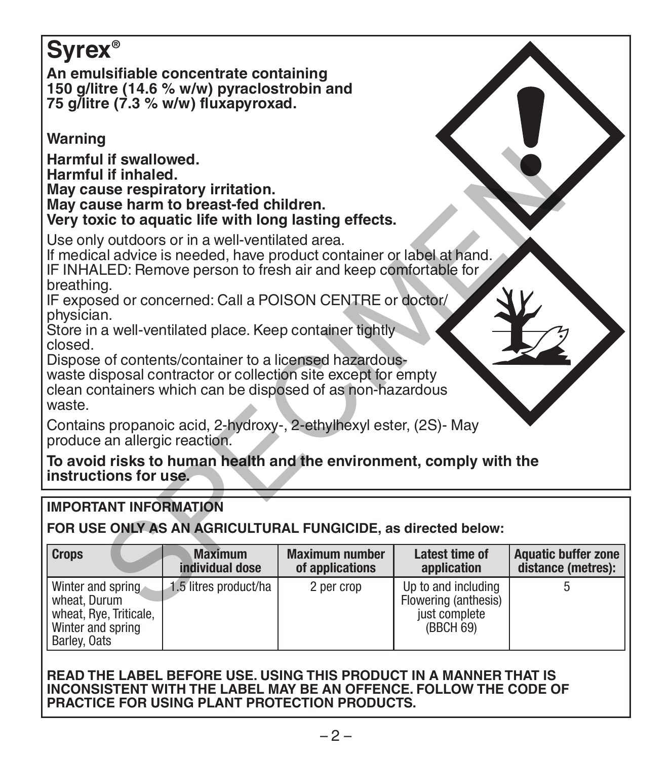# **Syrex®**

**An emulsifiable concentrate containing 150 g/litre (14.6 % w/w) pyraclostrobin and 75 g/litre (7.3 % w/w) fluxapyroxad.** 

# **Warning**

#### **May cause harm to breast-fed children. Very toxic to aquatic life with long lasting effects.**

# **IMPORTANT INFORMATION**

| Harmful if swallowed.<br>Harmful if inhaled.<br>May cause respiratory irritation.<br>May cause harm to breast-fed children.<br>Very toxic to aquatic life with long lasting effects.                       |                                   |                                          |                                                                           |                                                  |  |  |  |  |  |
|------------------------------------------------------------------------------------------------------------------------------------------------------------------------------------------------------------|-----------------------------------|------------------------------------------|---------------------------------------------------------------------------|--------------------------------------------------|--|--|--|--|--|
| Use only outdoors or in a well-ventilated area.<br>If medical advice is needed, have product container or label at hand.<br>IF INHALED: Remove person to fresh air and keep comfortable for                |                                   |                                          |                                                                           |                                                  |  |  |  |  |  |
| breathing.<br>IF exposed or concerned: Call a POISON CENTRE or doctor/<br>physician.<br>Store in a well-ventilated place. Keep container tightly                                                           |                                   |                                          |                                                                           |                                                  |  |  |  |  |  |
| closed.<br>Dispose of contents/container to a licensed hazardous-<br>waste disposal contractor or collection site except for empty<br>clean containers which can be disposed of as non-hazardous<br>waste. |                                   |                                          |                                                                           |                                                  |  |  |  |  |  |
| Contains propanoic acid, 2-hydroxy-, 2-ethylhexyl ester, (2S)- May<br>produce an allergic reaction.                                                                                                        |                                   |                                          |                                                                           |                                                  |  |  |  |  |  |
| To avoid risks to human health and the environment, comply with the<br>instructions for use.                                                                                                               |                                   |                                          |                                                                           |                                                  |  |  |  |  |  |
| <b>IMPORTANT INFORMATION</b>                                                                                                                                                                               |                                   |                                          |                                                                           |                                                  |  |  |  |  |  |
| FOR USE ONLY AS AN AGRICULTURAL FUNGICIDE, as directed below:                                                                                                                                              |                                   |                                          |                                                                           |                                                  |  |  |  |  |  |
| <b>Crops</b>                                                                                                                                                                                               | <b>Maximum</b><br>individual dose | <b>Maximum number</b><br>of applications | Latest time of<br>application                                             | <b>Aquatic buffer zone</b><br>distance (metres): |  |  |  |  |  |
| Winter and spring<br>wheat. Durum<br>wheat, Rye, Triticale,<br>Winter and spring<br>Barley, Oats                                                                                                           | 1.5 litres product/ha             | 2 per crop                               | Up to and including<br>Flowering (anthesis)<br>just complete<br>(BBCH 69) | 5                                                |  |  |  |  |  |

#### **READ THE LABEL BEFORE USE. USING THIS PRODUCT IN A MANNER THAT IS INCONSISTENT WITH THE LABEL MAY BE AN OFFENCE. FOLLOW THE CODE OF PRACTICE FOR USING PLANT PROTECTION PRODUCTS.**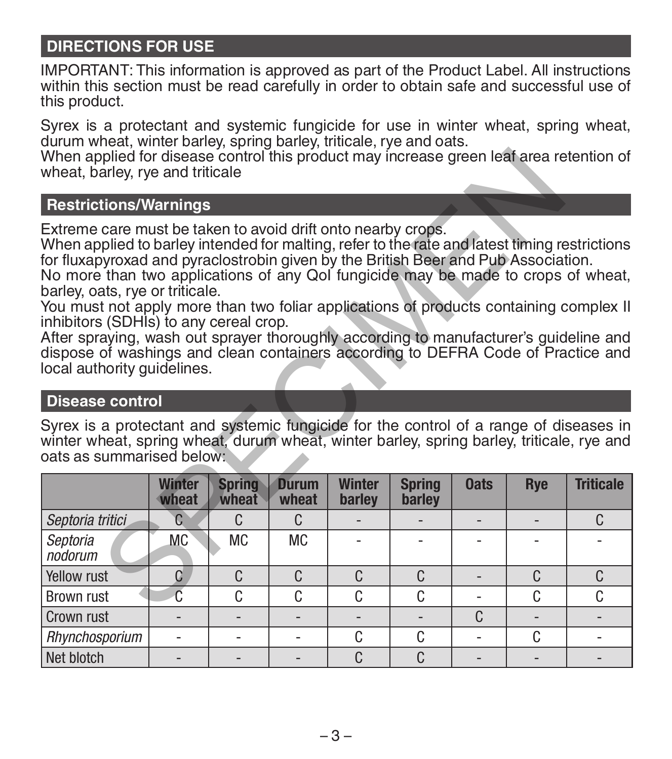# **DIRECTIONS FOR USE**

IMPORTANT: This information is approved as part of the Product Label. All instructions within this section must be read carefully in order to obtain safe and successful use of this product.

Syrex is a protectant and systemic fungicide for use in winter wheat, spring wheat, durum wheat, winter barley, spring barley, triticale, rye and oats.

## **Restrictions/Warnings**

## **Disease control**

| When applied for disease control this product may increase green leaf area retention of<br>wheat, barley, rye and triticale                                                                                                                                                                                                                                                                                                                                                                                                                                                                                                                                                                                                                                                                                                                                                                                                                                               |                           |                          |                          |                         |                         |                |     |                  |  |
|---------------------------------------------------------------------------------------------------------------------------------------------------------------------------------------------------------------------------------------------------------------------------------------------------------------------------------------------------------------------------------------------------------------------------------------------------------------------------------------------------------------------------------------------------------------------------------------------------------------------------------------------------------------------------------------------------------------------------------------------------------------------------------------------------------------------------------------------------------------------------------------------------------------------------------------------------------------------------|---------------------------|--------------------------|--------------------------|-------------------------|-------------------------|----------------|-----|------------------|--|
| <b>Restrictions/Warnings</b>                                                                                                                                                                                                                                                                                                                                                                                                                                                                                                                                                                                                                                                                                                                                                                                                                                                                                                                                              |                           |                          |                          |                         |                         |                |     |                  |  |
| Extreme care must be taken to avoid drift onto nearby crops.<br>When applied to barley intended for malting, refer to the rate and latest timing restrictions<br>for fluxapyroxad and pyraclostrobin given by the British Beer and Pub Association.<br>No more than two applications of any Qol fungicide may be made to crops of wheat,<br>barley, oats, rye or triticale.<br>You must not apply more than two foliar applications of products containing complex II<br>inhibitors (SDHIs) to any cereal crop.<br>After spraying, wash out sprayer thoroughly according to manufacturer's guideline and<br>dispose of washings and clean containers according to DEFRA Code of Practice and<br>local authority guidelines.<br><b>Disease control</b><br>Syrex is a protectant and systemic fungicide for the control of a range of diseases in<br>winter wheat, spring wheat, durum wheat, winter barley, spring barley, triticale, rye and<br>oats as summarised below: |                           |                          |                          |                         |                         |                |     |                  |  |
|                                                                                                                                                                                                                                                                                                                                                                                                                                                                                                                                                                                                                                                                                                                                                                                                                                                                                                                                                                           | <b>Winter</b><br>wheat    | <b>Spring</b><br>wheat   | <b>Durum</b><br>wheat    | <b>Winter</b><br>barley | <b>Spring</b><br>barley | <b>Oats</b>    | Rye | <b>Triticale</b> |  |
| Septoria tritici                                                                                                                                                                                                                                                                                                                                                                                                                                                                                                                                                                                                                                                                                                                                                                                                                                                                                                                                                          | $\mathbb{C}$              | C.                       | C.                       |                         |                         |                |     | C.               |  |
| Septoria<br>nodorum                                                                                                                                                                                                                                                                                                                                                                                                                                                                                                                                                                                                                                                                                                                                                                                                                                                                                                                                                       | <b>MC</b>                 | <b>MC</b>                | <b>MC</b>                |                         |                         |                |     |                  |  |
| Yellow rust                                                                                                                                                                                                                                                                                                                                                                                                                                                                                                                                                                                                                                                                                                                                                                                                                                                                                                                                                               | C                         | C                        | C.                       | C                       | C                       | L,             | C.  | C                |  |
| <b>Brown rust</b>                                                                                                                                                                                                                                                                                                                                                                                                                                                                                                                                                                                                                                                                                                                                                                                                                                                                                                                                                         | $\overline{\mathfrak{c}}$ | C                        | C                        | C                       | C                       | ٠              | C   | C                |  |
| Crown rust                                                                                                                                                                                                                                                                                                                                                                                                                                                                                                                                                                                                                                                                                                                                                                                                                                                                                                                                                                |                           |                          |                          |                         |                         | C              |     |                  |  |
| Rhynchosporium                                                                                                                                                                                                                                                                                                                                                                                                                                                                                                                                                                                                                                                                                                                                                                                                                                                                                                                                                            | ä,                        | ÷.                       | ä,                       | C                       | C                       | ÷              | C   | ٠                |  |
| Net blotch                                                                                                                                                                                                                                                                                                                                                                                                                                                                                                                                                                                                                                                                                                                                                                                                                                                                                                                                                                |                           | $\overline{\phantom{a}}$ | $\overline{\phantom{a}}$ | C                       | C                       | $\overline{a}$ |     |                  |  |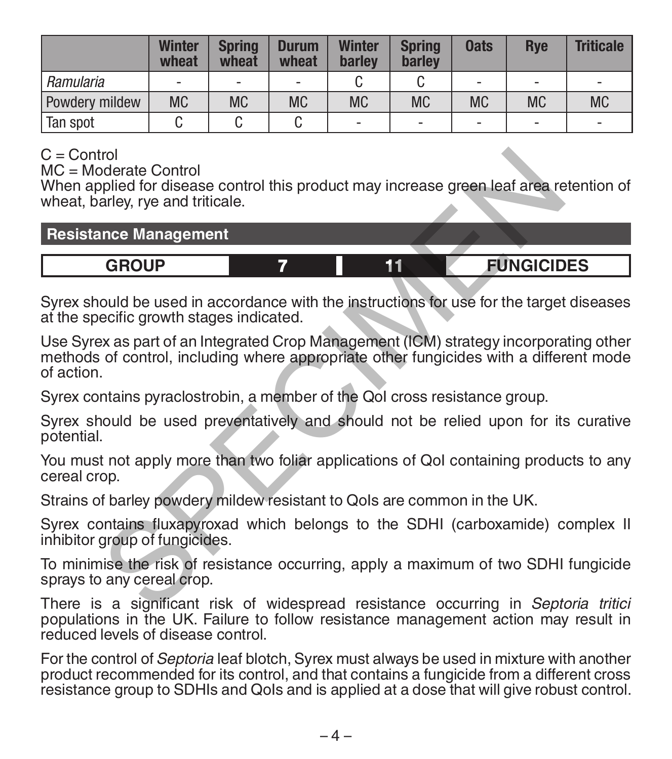|                | <b>Winter</b><br>wheat | <b>Spring</b><br>wheat   | <b>Durum</b><br>wheat    | <b>Winter</b><br>barley | <b>Spring</b><br>barley | <b>Oats</b> | <b>R</b> ve                  | <b>Triticale</b>         |
|----------------|------------------------|--------------------------|--------------------------|-------------------------|-------------------------|-------------|------------------------------|--------------------------|
| Ramularia      | ۰                      | $\overline{\phantom{a}}$ | $\overline{\phantom{a}}$ |                         |                         | ۰           | $\qquad \qquad \blacksquare$ | $\overline{\phantom{a}}$ |
| Powdery mildew | <b>MC</b>              | <b>MC</b>                | <b>MC</b>                | <b>MC</b>               | <b>MC</b>               | <b>MC</b>   | <b>MC</b>                    | <b>MC</b>                |
| Tan spot       |                        |                          |                          | -                       | ۰.                      | -           | $\qquad \qquad \blacksquare$ | -                        |

# $C =$  Control

MC = Moderate Control

When applied for disease control this product may increase green leaf area retention of wheat, barley, rye and triticale.

## **Resistance Management**

# **GROUP 7 11 FUNGICIDES**

Syrex should be used in accordance with the instructions for use for the target diseases at the specific growth stages indicated.

Use Syrex as part of an Integrated Crop Management (ICM) strategy incorporating other methods of control, including where appropriate other fungicides with a different mode of action. Internal Control<br>policid for disease control this product may increase green leaf area rearby, rye and triticale.<br>
Ince Management<br> **GROUP 7 11 EUNGICID**<br>
COMBINE DEVITE STATE TO THE CONSIDED ONLY A SECUTE CONTOM IS

Syrex contains pyraclostrobin, a member of the QoI cross resistance group.

Syrex should be used preventatively and should not be relied upon for its curative potential.

You must not apply more than two foliar applications of QoI containing products to any cereal crop.

Strains of barley powdery mildew resistant to QoIs are common in the UK.

Syrex contains fluxapyroxad which belongs to the SDHI (carboxamide) complex II inhibitor group of fungicides.

To minimise the risk of resistance occurring, apply a maximum of two SDHI fungicide sprays to any cereal crop.

There is a significant risk of widespread resistance occurring in *Septoria tritici* populations in the UK. Failure to follow resistance management action may result in reduced levels of disease control.

For the control of *Septoria* leaf blotch, Syrex must always be used in mixture with another product recommended for its control, and that contains a fungicide from a different cross resistance group to SDHIs and QoIs and is applied at a dose that will give robust control.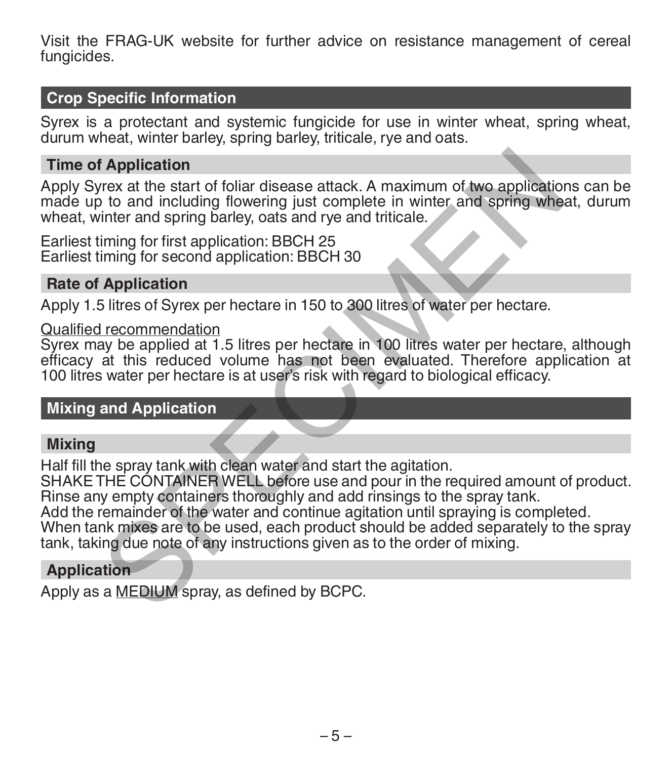Visit the FRAG-UK website for further advice on resistance management of cereal fungicides.

## **Crop Specific Information**

Syrex is a protectant and systemic fungicide for use in winter wheat, spring wheat, durum wheat, winter barley, spring barley, triticale, rye and oats.

## **Time of Application**

Apply Syrex at the start of foliar disease attack. A maximum of two applications can be made up to and including flowering just complete in winter and spring wheat, durum wheat, winter and spring barley, oats and rye and triticale.

Earliest timing for first application: BBCH 25 Earliest timing for second application: BBCH 30

#### **Rate of Application**

Apply 1.5 litres of Syrex per hectare in 150 to 300 litres of water per hectare.

#### Qualified recommendation

Syrex may be applied at 1.5 litres per hectare in 100 litres water per hectare, although efficacy at this reduced volume has not been evaluated. Therefore application at 100 litres water per hectare is at user's risk with regard to biological efficacy. **Example 16**<br> **Example 16** Application<br>
the start of foliar disease attack. A maximum of two application<br>
to and including flowering just complete in winter and spring whe<br>
timing for first application: BBCH 25<br>
iming for

## **Mixing and Application**

## **Mixing**

Half fill the spray tank with clean water and start the agitation.

SHAKE THE CONTAINER WELL before use and pour in the required amount of product. Rinse any empty containers thoroughly and add rinsings to the spray tank.

Add the remainder of the water and continue agitation until spraying is completed.

When tank mixes are to be used, each product should be added separately to the spray tank, taking due note of any instructions given as to the order of mixing.

## **Application**

Apply as a MEDIUM spray, as defined by BCPC.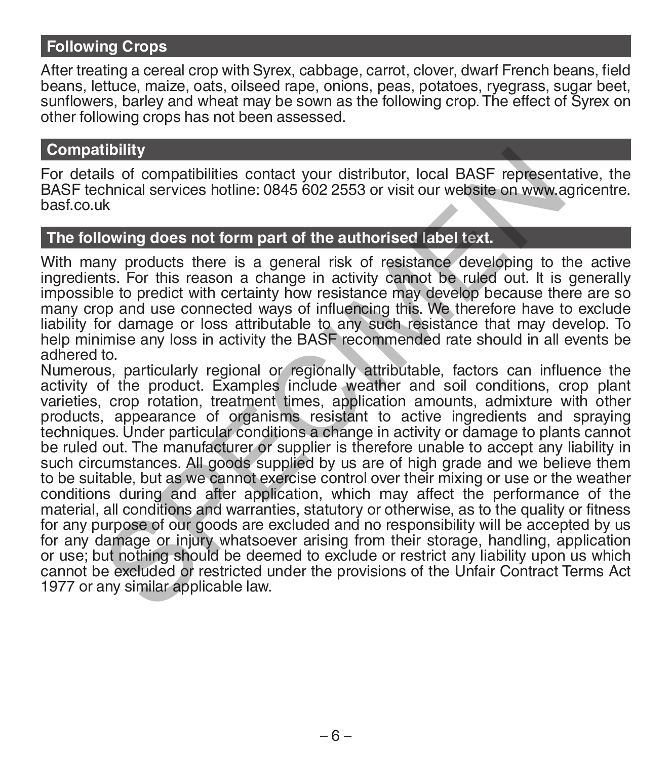## **Following Crops**

After treating a cereal crop with Syrex, cabbage, carrot, clover, dwarf French beans, field beans, lettuce, maize, oats, oilseed rape, onions, peas, potatoes, ryegrass, sugar beet, sunflowers, barley and wheat may be sown as the following crop. The effect of Syrex on other following crops has not been assessed.

#### **Compatibility**

For details of compatibilities contact your distributor, local BASF representative, the BASF technical services hotline: 0845 602 2553 or visit our website on www.agricentre. basf.co.uk

## **The following does not form part of the authorised label text.**

With many products there is a general risk of resistance developing to the active ingredients. For this reason a change in activity cannot be ruled out. It is generally impossible to predict with certainty how resistance may develop because there are so many crop and use connected ways of influencing this. We therefore have to exclude liability for damage or loss attributable to any such resistance that may develop. To help minimise any loss in activity the BASF recommended rate should in all events be adhered to.

Numerous, particularly regional or regionally attributable, factors can influence the activity of the product. Examples include weather and soil conditions, crop plant varieties, crop rotation, treatment times, application amounts, admixture with other products, appearance of organisms resistant to active ingredients and spraying techniques. Under particular conditions a change in activity or damage to plants cannot be ruled out. The manufacturer or supplier is therefore unable to accept any liability in such circumstances. All goods supplied by us are of high grade and we believe them to be suitable, but as we cannot exercise control over their mixing or use or the weather conditions during and after application, which may affect the performance of the material, all conditions and warranties, statutory or otherwise, as to the quality or fitness for any purpose of our goods are excluded and no responsibility will be accepted by us for any damage or injury whatsoever arising from their storage, handling, application or use; but nothing should be deemed to exclude or restrict any liability upon us which cannot be excluded or restricted under the provisions of the Unfair Contract Terms Act 1977 or any similar applicable law. itionity<br>
is of compatibilities contact your distributor, local BASF represent<br>
chinical services hotline: 0845 602 2553 or visit our website on www.ak<br>
is chinical services hotline: 0845 602 2553 or visit our website on w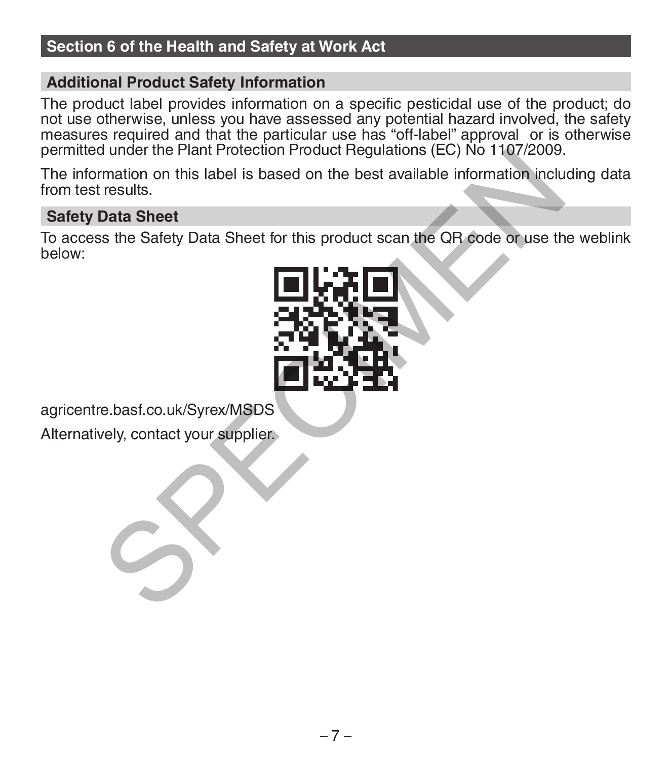# **Section 6 of the Health and Safety at Work Act**

## **Additional Product Safety Information**

The product label provides information on a specific pesticidal use of the product; do not use otherwise, unless you have assessed any potential hazard involved, the safety measures required and that the particular use has "off-label" approval or is otherwise permitted under the Plant Protection Product Regulations (EC) No 1107/2009.

The information on this label is based on the best available information including data from test results.

## **Safety Data Sheet**

To access the Safety Data Sheet for this product scan the QR code or use the weblink below:



agricentre.basf.co.uk/Syrex/MSDS

Alternatively, contact your supplier.